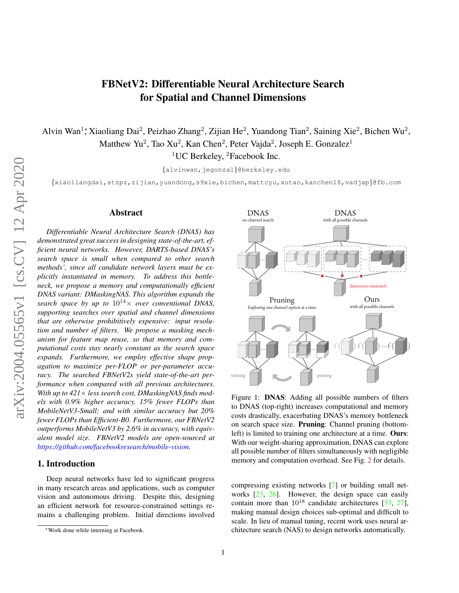# FBNetV2: Differentiable Neural Architecture Search for Spatial and Channel Dimensions

Alvin Wan<sup>1</sup>, Xiaoliang Dai<sup>2</sup>, Peizhao Zhang<sup>2</sup>, Zijian He<sup>2</sup>, Yuandong Tian<sup>2</sup>, Saining Xie<sup>2</sup>, Bichen Wu<sup>2</sup>, Matthew Yu<sup>2</sup>, Tao Xu<sup>2</sup>, Kan Chen<sup>2</sup>, Peter Vajda<sup>2</sup>, Joseph E. Gonzalez<sup>1</sup> <sup>1</sup>UC Berkeley, <sup>2</sup>Facebook Inc.

{alvinwan,jegonzal}@berkeley.edu

{xiaoliangdai,stzpz,zijian,yuandong,s9xie,bichen,mattcyu,xutao,kanchen18,vadjap}@fb.com

#### Abstract

*Differentiable Neural Architecture Search (DNAS) has demonstrated great success in designing state-of-the-art, efficient neural networks. However, DARTS-based DNAS's search space is small when compared to other search methods', since all candidate network layers must be explicitly instantiated in memory. To address this bottleneck, we propose a memory and computationally efficient DNAS variant: DMaskingNAS. This algorithm expands the search space by up to*  $10^{14} \times$  *over conventional DNAS, supporting searches over spatial and channel dimensions that are otherwise prohibitively expensive: input resolution and number of filters. We propose a masking mechanism for feature map reuse, so that memory and computational costs stay nearly constant as the search space expands. Furthermore, we employ effective shape propagation to maximize per-FLOP or per-parameter accuracy. The searched FBNetV2s yield state-of-the-art performance when compared with all previous architectures. With up to 421*× *less search cost, DMaskingNAS finds models with 0.9% higher accuracy, 15% fewer FLOPs than MobileNetV3-Small; and with similar accuracy but 20% fewer FLOPs than Efficient-B0. Furthermore, our FBNetV2 outperforms MobileNetV3 by 2.6% in accuracy, with equivalent model size. FBNetV2 models are open-sourced at https://github.com/facebookresearch/mobile-vision.*

# 1. Introduction

Deep neural networks have led to significant progress in many research areas and applications, such as computer vision and autonomous driving. Despite this, designing an efficient network for resource-constrained settings remains a challenging problem. Initial directions involved



Figure 1: DNAS: Adding all possible numbers of filters to DNAS (top-right) increases computational and memory costs drastically, exacerbating DNAS's memory bottleneck on search space size. Pruning: Channel pruning (bottomleft) is limited to training one architecture at a time. Ours: With our weight-sharing approximation, DNAS can explore all possible number of filters simultaneously with negligible memory and computation overhead. See Fig. 2 for details.

compressing existing networks [7] or building small networks [23, 26]. However, the design space can easily contain more than  $10^{18}$  candidate architectures [33, 27], making manual design choices sub-optimal and difficult to scale. In lieu of manual tuning, recent work uses neural architecture search (NAS) to design networks automatically.

<sup>∗</sup>Work done while interning at Facebook.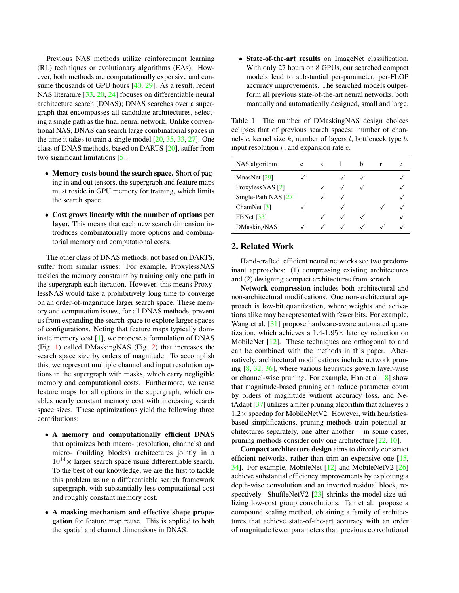Previous NAS methods utilize reinforcement learning (RL) techniques or evolutionary algorithms (EAs). However, both methods are computationally expensive and consume thousands of GPU hours [40, 29]. As a result, recent NAS literature [33, 20, 24] focuses on differentiable neural architecture search (DNAS); DNAS searches over a supergraph that encompasses all candidate architectures, selecting a single path as the final neural network. Unlike conventional NAS, DNAS can search large combinatorial spaces in the time it takes to train a single model [20, 35, 33, 27]. One class of DNAS methods, based on DARTS [20], suffer from two significant limitations [5]:

- Memory costs bound the search space. Short of paging in and out tensors, the supergraph and feature maps must reside in GPU memory for training, which limits the search space.
- Cost grows linearly with the number of options per layer. This means that each new search dimension introduces combinatorially more options and combinatorial memory and computational costs.

The other class of DNAS methods, not based on DARTS, suffer from similar issues: For example, ProxylessNAS tackles the memory constraint by training only one path in the supergraph each iteration. However, this means ProxylessNAS would take a prohibitively long time to converge on an order-of-magnitude larger search space. These memory and computation issues, for all DNAS methods, prevent us from expanding the search space to explore larger spaces of configurations. Noting that feature maps typically dominate memory cost [1], we propose a formulation of DNAS (Fig. 1) called DMaskingNAS (Fig. 2) that increases the search space size by orders of magnitude. To accomplish this, we represent multiple channel and input resolution options in the supergraph with masks, which carry negligible memory and computational costs. Furthermore, we reuse feature maps for all options in the supergraph, which enables nearly constant memory cost with increasing search space sizes. These optimizations yield the following three contributions:

- A memory and computationally efficient DNAS that optimizes both macro- (resolution, channels) and micro- (building blocks) architectures jointly in a  $10^{14} \times$  larger search space using differentiable search. To the best of our knowledge, we are the first to tackle this problem using a differentiable search framework supergraph, with substantially less computational cost and roughly constant memory cost.
- A masking mechanism and effective shape propagation for feature map reuse. This is applied to both the spatial and channel dimensions in DNAS.

• State-of-the-art results on ImageNet classification. With only 27 hours on 8 GPUs, our searched compact models lead to substantial per-parameter, per-FLOP accuracy improvements. The searched models outperform all previous state-of-the-art neural networks, both manually and automatically designed, small and large.

Table 1: The number of DMaskingNAS design choices eclipses that of previous search spaces: number of channels c, kernel size  $k$ , number of layers  $l$ , bottleneck type  $b$ , input resolution  $r$ , and expansion rate  $e$ .

| NAS algorithm             | C |  | h | e |
|---------------------------|---|--|---|---|
| MnasNet [29]              |   |  |   |   |
| ProxylessNAS [2]          |   |  |   |   |
| Single-Path NAS [27]      |   |  |   |   |
| ChamNet $\lceil 3 \rceil$ |   |  |   |   |
| <b>FBNet</b> [33]         |   |  |   |   |
| DMaskingNAS               |   |  |   |   |

# 2. Related Work

Hand-crafted, efficient neural networks see two predominant approaches: (1) compressing existing architectures and (2) designing compact architectures from scratch.

Network compression includes both architectural and non-architectural modifications. One non-architectural approach is low-bit quantization, where weights and activations alike may be represented with fewer bits. For example, Wang et al. [31] propose hardware-aware automated quantization, which achieves a  $1.4$ - $1.95\times$  latency reduction on MobileNet [12]. These techniques are orthogonal to and can be combined with the methods in this paper. Alternatively, architectural modifications include network pruning [8, 32, 36], where various heuristics govern layer-wise or channel-wise pruning. For example, Han et al. [8] show that magnitude-based pruning can reduce parameter count by orders of magnitude without accuracy loss, and NetAdapt [37] utilizes a filter pruning algorithm that achieves a  $1.2\times$  speedup for MobileNetV2. However, with heuristicsbased simplifications, pruning methods train potential architectures separately, one after another – in some cases, pruning methods consider only one architecture [22, 10].

Compact architecture design aims to directly construct efficient networks, rather than trim an expensive one [15, 34]. For example, MobileNet [12] and MobileNetV2 [26] achieve substantial efficiency improvements by exploiting a depth-wise convolution and an inverted residual block, respectively. ShuffleNetV2 [23] shrinks the model size utilizing low-cost group convolutions. Tan et al. propose a compound scaling method, obtaining a family of architectures that achieve state-of-the-art accuracy with an order of magnitude fewer parameters than previous convolutional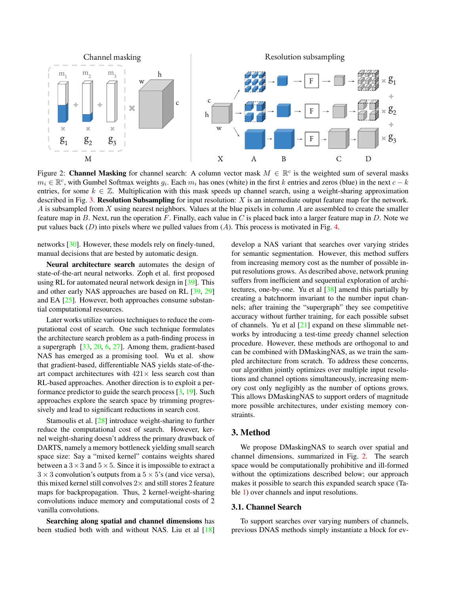

Figure 2: **Channel Masking** for channel search: A column vector mask  $M \in \mathbb{R}^c$  is the weighted sum of several masks  $m_i \in \mathbb{R}^c$ , with Gumbel Softmax weights  $g_i$ . Each  $m_i$  has ones (white) in the first k entries and zeros (blue) in the next  $c - k$ entries, for some  $k \in \mathbb{Z}$ . Multiplication with this mask speeds up channel search, using a weight-sharing approximation described in Fig. 3. Resolution Subsampling for input resolution:  $X$  is an intermediate output feature map for the network. A is subsampled from X using nearest neighbors. Values at the blue pixels in column A are assembled to create the smaller feature map in  $B$ . Next, run the operation  $F$ . Finally, each value in  $C$  is placed back into a larger feature map in  $D$ . Note we put values back  $(D)$  into pixels where we pulled values from  $(A)$ . This process is motivated in Fig. 4.

networks [30]. However, these models rely on finely-tuned, manual decisions that are bested by automatic design.

Neural architecture search automates the design of state-of-the-art neural networks. Zoph et al. first proposed using RL for automated neural network design in [39]. This and other early NAS approaches are based on RL [39, 29] and EA [25]. However, both approaches consume substantial computational resources.

Later works utilize various techniques to reduce the computational cost of search. One such technique formulates the architecture search problem as a path-finding process in a supergraph [33, 20, 6, 27]. Among them, gradient-based NAS has emerged as a promising tool. Wu et al. show that gradient-based, differentiable NAS yields state-of-theart compact architectures with  $421 \times$  less search cost than RL-based approaches. Another direction is to exploit a performance predictor to guide the search process [3, 19]. Such approaches explore the search space by trimming progressively and lead to significant reductions in search cost.

Stamoulis et al. [28] introduce weight-sharing to further reduce the computational cost of search. However, kernel weight-sharing doesn't address the primary drawback of DARTS, namely a memory bottleneck yielding small search space size: Say a "mixed kernel" contains weights shared between a  $3 \times 3$  and  $5 \times 5$ . Since it is impossible to extract a  $3 \times 3$  convolution's outputs from a  $5 \times 5$ 's (and vice versa), this mixed kernel still convolves  $2\times$  and still stores 2 feature maps for backpropagation. Thus, 2 kernel-weight-sharing convolutions induce memory and computational costs of 2 vanilla convolutions.

Searching along spatial and channel dimensions has been studied both with and without NAS. Liu et al [18] develop a NAS variant that searches over varying strides for semantic segmentation. However, this method suffers from increasing memory cost as the number of possible input resolutions grows. As described above, network pruning suffers from inefficient and sequential exploration of architectures, one-by-one. Yu et al [38] amend this partially by creating a batchnorm invariant to the number input channels; after training the "supergraph" they see competitive accuracy without further training, for each possible subset of channels. Yu et al  $[21]$  expand on these slimmable networks by introducing a test-time greedy channel selection procedure. However, these methods are orthogonal to and can be combined with DMaskingNAS, as we train the sampled architecture from scratch. To address these concerns, our algorithm jointly optimizes over multiple input resolutions and channel options simultaneously, increasing memory cost only negligibly as the number of options grows. This allows DMaskingNAS to support orders of magnitude more possible architectures, under existing memory constraints.

# 3. Method

We propose DMaskingNAS to search over spatial and channel dimensions, summarized in Fig. 2. The search space would be computationally prohibitive and ill-formed without the optimizations described below; our approach makes it possible to search this expanded search space (Table 1) over channels and input resolutions.

#### 3.1. Channel Search

To support searches over varying numbers of channels, previous DNAS methods simply instantiate a block for ev-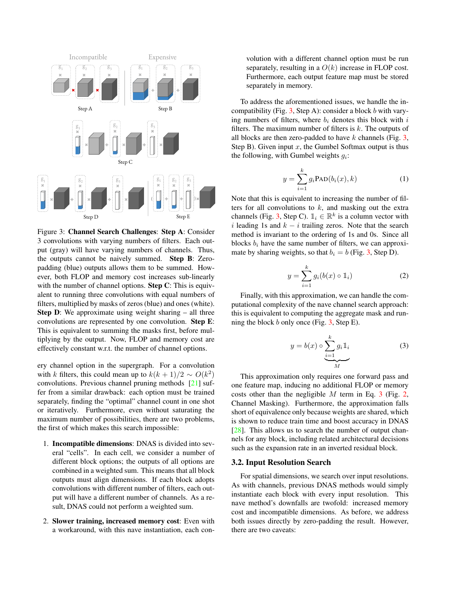

Figure 3: Channel Search Challenges: Step A: Consider 3 convolutions with varying numbers of filters. Each output (gray) will have varying numbers of channels. Thus, the outputs cannot be naively summed. Step B: Zeropadding (blue) outputs allows them to be summed. However, both FLOP and memory cost increases sub-linearly with the number of channel options. **Step C**: This is equivalent to running three convolutions with equal numbers of filters, multiplied by masks of zeros (blue) and ones (white). Step D: We approximate using weight sharing – all three convolutions are represented by one convolution. Step E: This is equivalent to summing the masks first, before multiplying by the output. Now, FLOP and memory cost are effectively constant w.r.t. the number of channel options.

ery channel option in the supergraph. For a convolution with k filters, this could mean up to  $k(k + 1)/2 \sim O(k^2)$ convolutions. Previous channel pruning methods [21] suffer from a similar drawback: each option must be trained separately, finding the "optimal" channel count in one shot or iteratively. Furthermore, even without saturating the maximum number of possibilities, there are two problems, the first of which makes this search impossible:

- 1. Incompatible dimensions: DNAS is divided into several "cells". In each cell, we consider a number of different block options; the outputs of all options are combined in a weighted sum. This means that all block outputs must align dimensions. If each block adopts convolutions with different number of filters, each output will have a different number of channels. As a result, DNAS could not perform a weighted sum.
- 2. Slower training, increased memory cost: Even with a workaround, with this nave instantiation, each con-

volution with a different channel option must be run separately, resulting in a  $O(k)$  increase in FLOP cost. Furthermore, each output feature map must be stored separately in memory.

To address the aforementioned issues, we handle the incompatibility (Fig. 3, Step A): consider a block  $b$  with varying numbers of filters, where  $b_i$  denotes this block with  $i$ filters. The maximum number of filters is  $k$ . The outputs of all blocks are then zero-padded to have  $k$  channels (Fig. 3, Step B). Given input  $x$ , the Gumbel Softmax output is thus the following, with Gumbel weights  $g_i$ :

$$
y = \sum_{i=1}^{k} g_i \text{PAD}(b_i(x), k)
$$
 (1)

Note that this is equivalent to increasing the number of filters for all convolutions to  $k$ , and masking out the extra channels (Fig. 3, Step C).  $\mathbb{I}_i \in \mathbb{R}^k$  is a column vector with i leading 1s and  $k - i$  trailing zeros. Note that the search method is invariant to the ordering of 1s and 0s. Since all blocks  $b_i$  have the same number of filters, we can approximate by sharing weights, so that  $b_i = b$  (Fig. 3, Step D).

$$
y = \sum_{i=1}^{k} g_i(b(x) \circ \mathbb{1}_i)
$$
 (2)

Finally, with this approximation, we can handle the computational complexity of the nave channel search approach: this is equivalent to computing the aggregate mask and running the block b only once (Fig.  $3$ , Step E).

$$
y = b(x) \circ \underbrace{\sum_{i=1}^{k} g_i 1_i}_{M}
$$
 (3)

This approximation only requires one forward pass and one feature map, inducing no additional FLOP or memory costs other than the negligible  $M$  term in Eq. 3 (Fig. 2, Channel Masking). Furthermore, the approximation falls short of equivalence only because weights are shared, which is shown to reduce train time and boost accuracy in DNAS [28]. This allows us to search the number of output channels for any block, including related architectural decisions such as the expansion rate in an inverted residual block.

#### 3.2. Input Resolution Search

For spatial dimensions, we search over input resolutions. As with channels, previous DNAS methods would simply instantiate each block with every input resolution. This nave method's downfalls are twofold: increased memory cost and incompatible dimensions. As before, we address both issues directly by zero-padding the result. However, there are two caveats: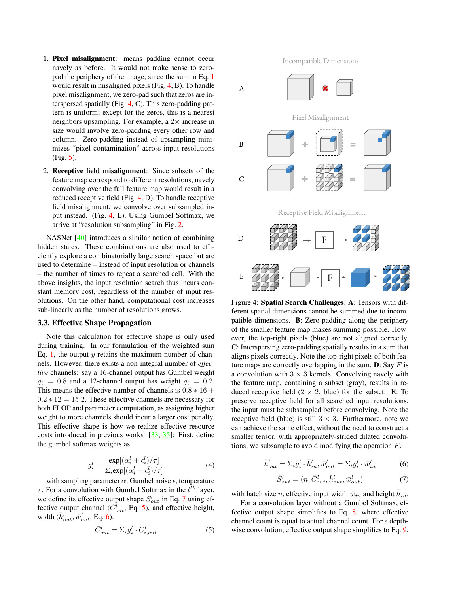- 1. Pixel misalignment: means padding cannot occur navely as before. It would not make sense to zeropad the periphery of the image, since the sum in Eq. 1 would result in misaligned pixels (Fig. 4, B). To handle pixel misalignment, we zero-pad such that zeros are interspersed spatially (Fig. 4, C). This zero-padding pattern is uniform; except for the zeros, this is a nearest neighbors upsampling. For example, a  $2\times$  increase in size would involve zero-padding every other row and column. Zero-padding instead of upsampling minimizes "pixel contamination" across input resolutions (Fig. 5).
- 2. Receptive field misalignment: Since subsets of the feature map correspond to different resolutions, navely convolving over the full feature map would result in a reduced receptive field (Fig. 4, D). To handle receptive field misalignment, we convolve over subsampled input instead. (Fig. 4, E). Using Gumbel Softmax, we arrive at "resolution subsampling" in Fig. 2.

NASNet [40] introduces a similar notion of combining hidden states. These combinations are also used to efficiently explore a combinatorially large search space but are used to determine – instead of input resolution or channels – the number of times to repeat a searched cell. With the above insights, the input resolution search thus incurs constant memory cost, regardless of the number of input resolutions. On the other hand, computational cost increases sub-linearly as the number of resolutions grows.

# 3.3. Effective Shape Propagation

Note this calculation for effective shape is only used during training. In our formulation of the weighted sum Eq. 1, the output  $y$  retains the maximum number of channels. However, there exists a non-integral number of *effective* channels: say a 16-channel output has Gumbel weight  $g_i = 0.8$  and a 12-channel output has weight  $g_i = 0.2$ . This means the effective number of channels is  $0.8 * 16 +$  $0.2 * 12 = 15.2$ . These effective channels are necessary for both FLOP and parameter computation, as assigning higher weight to more channels should incur a larger cost penalty. This effective shape is how we realize effective resource costs introduced in previous works [33, 35]: First, define the gumbel softmax weights as

$$
g_i^l = \frac{\exp[(\alpha_i^l + \epsilon_i^l)/\tau]}{\sum_i \exp[(\alpha_i^l + \epsilon_i^l)/\tau]}
$$
(4)

with sampling parameter  $\alpha$ , Gumbel noise  $\epsilon$ , temperature  $\tau$ . For a convolution with Gumbel Softmax in the  $l^{th}$  layer, we define its effective output shape  $\bar{S}_{out}^l$  in Eq. 7 using effective output channel ( $\overline{C}_{out}$ , Eq. 5), and effective height, width  $(\bar{h}_{out}^l, \bar{w}_{out}^l,$  Eq. 6).

$$
\bar{C}_{out}^l = \Sigma_i g_i^l \cdot C_{i,out}^l \tag{5}
$$

Incompatible Dimensions



ar notion of combining<br>
ar notion of combining<br>
For each use to teffi-<br>
regre search space but are<br>
search deal. With the<br>
search thus incurs con-<br>
search thus incurs con-<br>
incursional cost increases<br>
Figure 4: **Spatial S** Figure 4: Spatial Search Challenges: A: Tensors with different spatial dimensions cannot be summed due to incompatible dimensions. B: Zero-padding along the periphery of the smaller feature map makes summing possible. However, the top-right pixels (blue) are not aligned correctly. C: Interspersing zero-padding spatially results in a sum that aligns pixels correctly. Note the top-right pixels of both feature maps are correctly overlapping in the sum.  $\mathbf{D}$ : Say F is a convolution with  $3 \times 3$  kernels. Convolving navely with the feature map, containing a subset (gray), results in reduced receptive field  $(2 \times 2,$  blue) for the subset. E: To preserve receptive field for all searched input resolutions, the input must be subsampled before convolving. Note the receptive field (blue) is still  $3 \times 3$ . Furthermore, note we can achieve the same effect, without the need to construct a smaller tensor, with appropriately-strided dilated convolutions; we subsample to avoid modifying the operation F.

$$
\bar{h}_{out}^l = \Sigma_i g_i^l \cdot \bar{h}_{in}^l, \bar{w}_{out}^l = \Sigma_i g_i^l \cdot \bar{w}_{in}^l \tag{6}
$$

$$
\bar{S}_{out}^l = (n, \bar{C}_{out}^l, \bar{h}_{out}^l, \bar{w}_{out}^l)
$$
\n(7)

with batch size *n*, effective input width  $\bar{w}_{in}$  and height  $\bar{h}_{in}$ .

For a convolution layer without a Gumbel Softmax, effective output shape simplifies to Eq. 8, where effective channel count is equal to actual channel count. For a depthwise convolution, effective output shape simplifies to Eq. 9,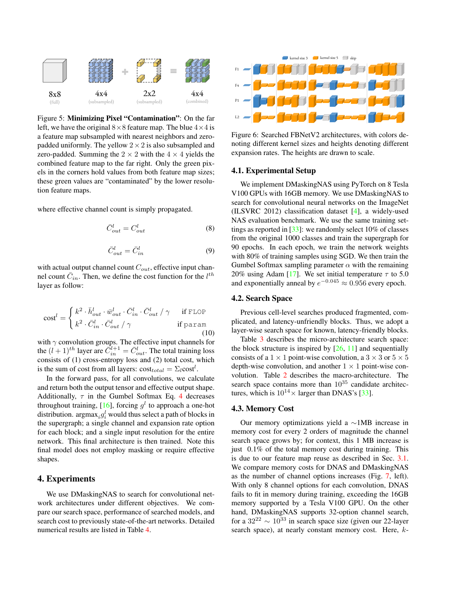

Figure 5: Minimizing Pixel "Contamination": On the far left, we have the original  $8 \times 8$  feature map. The blue  $4 \times 4$  is a feature map subsampled with nearest neighbors and zeropadded uniformly. The yellow  $2 \times 2$  is also subsampled and zero-padded. Summing the  $2 \times 2$  with the  $4 \times 4$  yields the combined feature map to the far right. Only the green pixels in the corners hold values from both feature map sizes; these green values are "contaminated" by the lower resolution feature maps.

where effective channel count is simply propagated.

$$
\bar{C}_{out}^l = C_{out}^l \tag{8}
$$

$$
\bar{C}_{out}^l = \bar{C}_{in}^l \tag{9}
$$

with actual output channel count  $C_{out}$ , effective input channel count  $\bar{C}_{in}$ . Then, we define the cost function for the  $l^{th}$ layer as follow:

$$
\text{cost}^{l} = \begin{cases} k^{2} \cdot \bar{h}_{out}^{l} \cdot \bar{w}_{out}^{l} \cdot \bar{C}_{in}^{l} \cdot \bar{C}_{out}^{l} / \gamma & \text{if FLOP} \\ k^{2} \cdot \bar{C}_{in}^{l} \cdot \bar{C}_{out}^{l} / \gamma & \text{if param} \end{cases}
$$
(10)

with  $\gamma$  convolution groups. The effective input channels for the  $(l+1)^{th}$  layer are  $\overline{\tilde{C}}_{in}^{l+1} = \overline{C}_{out}^{l}$ . The total training loss consists of (1) cross-entropy loss and (2) total cost, which is the sum of cost from all layers:  $cost_{total} = \sum_l cost^l$ .

In the forward pass, for all convolutions, we calculate and return both the output tensor and effective output shape. Additionally,  $\tau$  in the Gumbel Softmax Eq. 4 decreases throughout training, [16], forcing  $g^l$  to approach a one-hot distribution.  $\argmax_i g_i^l$  would thus select a path of blocks in the supergraph; a single channel and expansion rate option for each block; and a single input resolution for the entire network. This final architecture is then trained. Note this final model does not employ masking or require effective shapes.

# 4. Experiments

We use DMaskingNAS to search for convolutional network architectures under different objectives. We compare our search space, performance of searched models, and search cost to previously state-of-the-art networks. Detailed numerical results are listed in Table 4.



Figure 6: Searched FBNetV2 architectures, with colors denoting different kernel sizes and heights denoting different expansion rates. The heights are drawn to scale.

#### 4.1. Experimental Setup

We implement DMaskingNAS using PyTorch on 8 Tesla V100 GPUs with 16GB memory. We use DMaskingNAS to search for convolutional neural networks on the ImageNet (ILSVRC 2012) classification dataset [4], a widely-used NAS evaluation benchmark. We use the same training settings as reported in [33]: we randomly select 10% of classes from the original 1000 classes and train the supergraph for 90 epochs. In each epoch, we train the network weights with 80% of training samples using SGD. We then train the Gumbel Softmax sampling parameter  $\alpha$  with the remaining 20% using Adam [17]. We set initial temperature  $\tau$  to 5.0 and exponentially anneal by  $e^{-0.045} \approx 0.956$  every epoch.

# 4.2. Search Space

Previous cell-level searches produced fragmented, complicated, and latency-unfriendly blocks. Thus, we adopt a layer-wise search space for known, latency-friendly blocks.

Table 3 describes the micro-architecture search space: the block structure is inspired by  $[26, 11]$  and sequentially consists of a  $1 \times 1$  point-wise convolution, a  $3 \times 3$  or  $5 \times 5$ depth-wise convolution, and another  $1 \times 1$  point-wise convolution. Table 2 describes the macro-architecture. The search space contains more than  $10^{35}$  candidate architectures, which is  $10^{14} \times$  larger than DNAS's [33].

# 4.3. Memory Cost

Our memory optimizations yield a ∼1MB increase in memory cost for every 2 orders of magnitude the channel search space grows by; for context, this 1 MB increase is just 0.1% of the total memory cost during training. This is due to our feature map reuse as described in Sec. 3.1. We compare memory costs for DNAS and DMaskingNAS as the number of channel options increases (Fig. 7, left). With only 8 channel options for each convolution, DNAS fails to fit in memory during training, exceeding the 16GB memory supported by a Tesla V100 GPU. On the other hand, DMaskingNAS supports 32-option channel search, for a  $32^{22} \sim 10^{33}$  in search space size (given our 22-layer search space), at nearly constant memory cost. Here, k-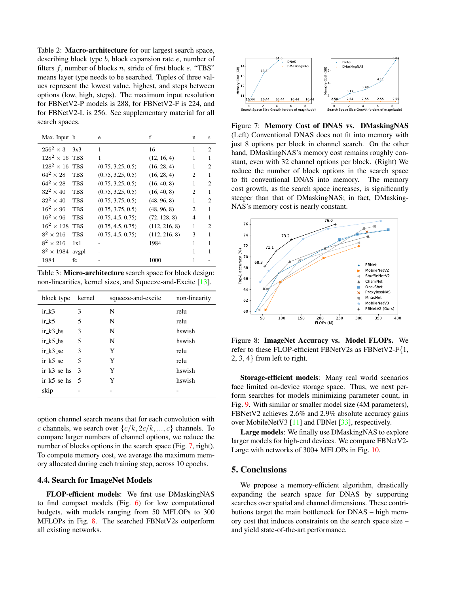Table 2: Macro-architecture for our largest search space, describing block type b, block expansion rate e, number of filters f, number of blocks n, stride of first block s. "TBS" means layer type needs to be searched. Tuples of three values represent the lowest value, highest, and steps between options (low, high, steps). The maximum input resolution for FBNetV2-P models is 288, for FBNetV2-F is 224, and for FBNetV2-L is 256. See supplementary material for all search spaces.

| Max. Input b          |            | e                 | f             | n              | S              |
|-----------------------|------------|-------------------|---------------|----------------|----------------|
| $256^2 \times 3$      | 3x3        | 1                 | 16            | 1              | $\overline{c}$ |
| $128^2 \times 16$ TBS |            | 1                 | (12, 16, 4)   | 1              | 1              |
| $128^2 \times 16$     | <b>TBS</b> | (0.75, 3.25, 0.5) | (16, 28, 4)   | 1              | $\overline{c}$ |
| $64^2 \times 28$      | <b>TBS</b> | (0.75, 3.25, 0.5) | (16, 28, 4)   | $\mathfrak{D}$ | 1              |
| $64^2 \times 28$      | <b>TBS</b> | (0.75, 3.25, 0.5) | (16, 40, 8)   | 1              | $\overline{c}$ |
| $32^2 \times 40$      | <b>TBS</b> | (0.75, 3.25, 0.5) | (16, 40, 8)   | 2              | 1              |
| $32^2 \times 40$      | <b>TBS</b> | (0.75, 3.75, 0.5) | (48, 96, 8)   | 1              | $\overline{c}$ |
| $16^2 \times 96$      | <b>TBS</b> | (0.75, 3.75, 0.5) | (48, 96, 8)   | $\mathfrak{D}$ | 1              |
| $16^2 \times 96$      | <b>TBS</b> | (0.75, 4.5, 0.75) | (72, 128, 8)  | 4              | 1              |
| $16^2 \times 128$     | <b>TBS</b> | (0.75, 4.5, 0.75) | (112, 216, 8) | 1              | $\mathfrak{D}$ |
| $8^2 \times 216$      | <b>TBS</b> | (0.75, 4.5, 0.75) | (112, 216, 8) | 3              | 1              |
| $8^2 \times 216$      | 1x1        |                   | 1984          | 1              | 1              |
| $8^2 \times 1984$     | avgpl      |                   |               | 1              | 1              |
| 1984                  | fc         |                   | 1000          | 1              |                |

Table 3: Micro-architecture search space for block design: non-linearities, kernel sizes, and Squeeze-and-Excite [13].

| block type     | kernel        | squeeze-and-excite | non-linearity |
|----------------|---------------|--------------------|---------------|
| $ir_k3$        | 3             | N                  | relu          |
| $ir_k5$        | 5             | N                  | relu          |
| $ir_k3$ hs     | 3             | N                  | hswish        |
| ir $k$ 5 hs    | 5             | N                  | hswish        |
| ir k3 se       | 3             | Y                  | relu          |
| ir k5 se       | 5             | Y                  | relu          |
| ir $k3$ se hs  | $\mathcal{F}$ | Y                  | hswish        |
| ir $k$ 5 se hs | - 5           | Y                  | hswish        |
| skip           |               |                    |               |

option channel search means that for each convolution with c channels, we search over  $\{c/k, 2c/k, ..., c\}$  channels. To compare larger numbers of channel options, we reduce the number of blocks options in the search space (Fig. 7, right). To compute memory cost, we average the maximum memory allocated during each training step, across 10 epochs.

#### 4.4. Search for ImageNet Models

FLOP-efficient models: We first use DMaskingNAS to find compact models (Fig. 6) for low computational budgets, with models ranging from 50 MFLOPs to 300 MFLOPs in Fig. 8. The searched FBNetV2s outperform all existing networks.



Figure 7: Memory Cost of DNAS vs. DMaskingNAS (Left) Conventional DNAS does not fit into memory with just 8 options per block in channel search. On the other hand, DMaskingNAS's memory cost remains roughly constant, even with 32 channel options per block. (Right) We reduce the number of block options in the search space to fit conventional DNAS into memory. The memory cost growth, as the search space increases, is significantly steeper than that of DMaskingNAS; in fact, DMasking-NAS's memory cost is nearly constant.



Figure 8: ImageNet Accuracy vs. Model FLOPs. We refer to these FLOP-efficient FBNetV2s as FBNetV2-F{1, 2, 3, 4} from left to right.

Storage-efficient models: Many real world scenarios face limited on-device storage space. Thus, we next perform searches for models minimizing parameter count, in Fig. 9. With similar or smaller model size (4M parameters), FBNetV2 achieves 2.6% and 2.9% absolute accuracy gains over MobileNetV3 [11] and FBNet [33], respectively.

Large models: We finally use DMaskingNAS to explore larger models for high-end devices. We compare FBNetV2- Large with networks of 300+ MFLOPs in Fig. 10.

#### 5. Conclusions

We propose a memory-efficient algorithm, drastically expanding the search space for DNAS by supporting searches over spatial and channel dimensions. These contributions target the main bottleneck for DNAS – high memory cost that induces constraints on the search space size – and yield state-of-the-art performance.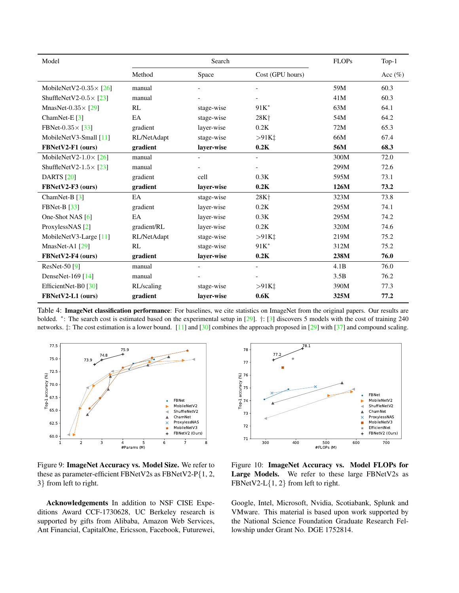| Model                          | Search      |                          | <b>FLOPs</b>                       | $Top-1$ |             |
|--------------------------------|-------------|--------------------------|------------------------------------|---------|-------------|
|                                | Method      | Space                    | Cost (GPU hours)                   |         | Acc $(\% )$ |
| MobileNetV2-0.35 $\times$ [26] | manual      | $\overline{\phantom{a}}$ | $\overline{\phantom{a}}$           | 59M     | 60.3        |
| ShuffleNetV2-0.5 $\times$ [23] | manual      |                          | $\overline{\phantom{a}}$           | 41M     | 60.3        |
| MnasNet- $0.35 \times 729$     | RL          | stage-wise               | $91K^*$                            | 63M     | 64.1        |
| ChamNet-E $[3]$                | EA          | stage-wise               | 28K <sup>+</sup>                   | 54M     | 64.2        |
| FBNet- $0.35 \times 33$        | gradient    | layer-wise               | 0.2K                               | 72M     | 65.3        |
| MobileNetV3-Small [11]         | RL/NetAdapt | stage-wise               | $>91K$ <sup>+</sup>                | 66M     | 67.4        |
| FBNetV2-F1 (ours)              | gradient    | layer-wise               | 0.2K                               | 56M     | 68.3        |
| MobileNetV2-1.0 $\times$ [26]  | manual      |                          | $\overline{\phantom{a}}$           | 300M    | 72.0        |
| ShuffleNetV2-1.5 $\times$ [23] | manual      |                          | $\overline{\phantom{a}}$           | 299M    | 72.6        |
| <b>DARTS</b> [20]              | gradient    | cell                     | 0.3K                               | 595M    | 73.1        |
| FBNetV2-F3 (ours)              | gradient    | layer-wise               | 0.2K                               | 126M    | 73.2        |
| ChamNet-B <sup>[3]</sup>       | EA          | stage-wise               | 28K <sup>+</sup>                   | 323M    | 73.8        |
| <b>FBNet-B</b> [33]            | gradient    | layer-wise               | 0.2K                               | 295M    | 74.1        |
| One-Shot NAS [6]               | EA          | layer-wise               | 0.3K                               | 295M    | 74.2        |
| ProxylessNAS [2]               | gradient/RL | layer-wise               | 0.2K                               | 320M    | 74.6        |
| MobileNetV3-Large [11]         | RL/NetAdapt | stage-wise               | $>91K$ ‡                           | 219M    | 75.2        |
| MnasNet-A1 $[29]$              | RL          | stage-wise               | $91K^*$                            | 312M    | 75.2        |
| FBNetV2-F4 (ours)              | gradient    | layer-wise               | 0.2K                               | 238M    | 76.0        |
| ResNet-50 [9]                  | manual      | $\overline{\phantom{a}}$ | $\overline{\phantom{a}}$           | 4.1B    | 76.0        |
| DenseNet-169 [14]              | manual      |                          |                                    | 3.5B    | 76.2        |
| EfficientNet-B0 $[30]$         | RL/scaling  | stage-wise               | $>91K$ <sup><math>\pm</math></sup> | 390M    | 77.3        |
| FBNetV2-L1 (ours)              | gradient    | layer-wise               | 0.6K                               | 325M    | 77.2        |

Table 4: ImageNet classification performance: For baselines, we cite statistics on ImageNet from the original papers. Our results are bolded. <sup>∗</sup> : The search cost is estimated based on the experimental setup in [29]. †: [3] discovers 5 models with the cost of training 240 networks. ‡: The cost estimation is a lower bound. [11] and [30] combines the approach proposed in [29] with [37] and compound scaling.



Figure 9: ImageNet Accuracy vs. Model Size. We refer to these as parameter-efficient FBNetV2s as FBNetV2-P{1, 2, 3} from left to right.

Acknowledgements In addition to NSF CISE Expeditions Award CCF-1730628, UC Berkeley research is supported by gifts from Alibaba, Amazon Web Services, Ant Financial, CapitalOne, Ericsson, Facebook, Futurewei,



Figure 10: ImageNet Accuracy vs. Model FLOPs for Large Models. We refer to these large FBNetV2s as FBNetV2-L $\{1, 2\}$  from left to right.

Google, Intel, Microsoft, Nvidia, Scotiabank, Splunk and VMware. This material is based upon work supported by the National Science Foundation Graduate Research Fellowship under Grant No. DGE 1752814.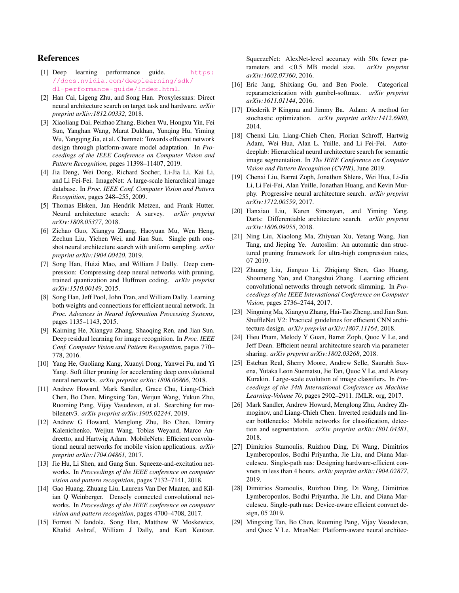# References

- [1] Deep learning performance guide. https: //docs.nvidia.com/deeplearning/sdk/ dl-performance-guide/index.html.
- [2] Han Cai, Ligeng Zhu, and Song Han. Proxylessnas: Direct neural architecture search on target task and hardware. *arXiv preprint arXiv:1812.00332*, 2018.
- [3] Xiaoliang Dai, Peizhao Zhang, Bichen Wu, Hongxu Yin, Fei Sun, Yanghan Wang, Marat Dukhan, Yunqing Hu, Yiming Wu, Yangqing Jia, et al. Chamnet: Towards efficient network design through platform-aware model adaptation. In *Proceedings of the IEEE Conference on Computer Vision and Pattern Recognition*, pages 11398–11407, 2019.
- [4] Jia Deng, Wei Dong, Richard Socher, Li-Jia Li, Kai Li, and Li Fei-Fei. ImageNet: A large-scale hierarchical image database. In *Proc. IEEE Conf. Computer Vision and Pattern Recognition*, pages 248–255, 2009.
- [5] Thomas Elsken, Jan Hendrik Metzen, and Frank Hutter. Neural architecture search: A survey. *arXiv preprint arXiv:1808.05377*, 2018.
- [6] Zichao Guo, Xiangyu Zhang, Haoyuan Mu, Wen Heng, Zechun Liu, Yichen Wei, and Jian Sun. Single path oneshot neural architecture search with uniform sampling. *arXiv preprint arXiv:1904.00420*, 2019.
- [7] Song Han, Huizi Mao, and William J Dally. Deep compression: Compressing deep neural networks with pruning, trained quantization and Huffman coding. *arXiv preprint arXiv:1510.00149*, 2015.
- [8] Song Han, Jeff Pool, John Tran, and William Dally. Learning both weights and connections for efficient neural network. In *Proc. Advances in Neural Information Processing Systems*, pages 1135–1143, 2015.
- [9] Kaiming He, Xiangyu Zhang, Shaoqing Ren, and Jian Sun. Deep residual learning for image recognition. In *Proc. IEEE Conf. Computer Vision and Pattern Recognition*, pages 770– 778, 2016.
- [10] Yang He, Guoliang Kang, Xuanyi Dong, Yanwei Fu, and Yi Yang. Soft filter pruning for accelerating deep convolutional neural networks. *arXiv preprint arXiv:1808.06866*, 2018.
- [11] Andrew Howard, Mark Sandler, Grace Chu, Liang-Chieh Chen, Bo Chen, Mingxing Tan, Weijun Wang, Yukun Zhu, Ruoming Pang, Vijay Vasudevan, et al. Searching for mobilenetv3. *arXiv preprint arXiv:1905.02244*, 2019.
- [12] Andrew G Howard, Menglong Zhu, Bo Chen, Dmitry Kalenichenko, Weijun Wang, Tobias Weyand, Marco Andreetto, and Hartwig Adam. MobileNets: Efficient convolutional neural networks for mobile vision applications. *arXiv preprint arXiv:1704.04861*, 2017.
- [13] Jie Hu, Li Shen, and Gang Sun. Squeeze-and-excitation networks. In *Proceedings of the IEEE conference on computer vision and pattern recognition*, pages 7132–7141, 2018.
- [14] Gao Huang, Zhuang Liu, Laurens Van Der Maaten, and Kilian Q Weinberger. Densely connected convolutional networks. In *Proceedings of the IEEE conference on computer vision and pattern recognition*, pages 4700–4708, 2017.
- [15] Forrest N Iandola, Song Han, Matthew W Moskewicz, Khalid Ashraf, William J Dally, and Kurt Keutzer.

SqueezeNet: AlexNet-level accuracy with 50x fewer parameters and <0.5 MB model size. *arXiv preprint arXiv:1602.07360*, 2016.

- [16] Eric Jang, Shixiang Gu, and Ben Poole. Categorical reparameterization with gumbel-softmax. *arXiv preprint arXiv:1611.01144*, 2016.
- [17] Diederik P Kingma and Jimmy Ba. Adam: A method for stochastic optimization. *arXiv preprint arXiv:1412.6980*, 2014.
- [18] Chenxi Liu, Liang-Chieh Chen, Florian Schroff, Hartwig Adam, Wei Hua, Alan L. Yuille, and Li Fei-Fei. Autodeeplab: Hierarchical neural architecture search for semantic image segmentation. In *The IEEE Conference on Computer Vision and Pattern Recognition (CVPR)*, June 2019.
- [19] Chenxi Liu, Barret Zoph, Jonathon Shlens, Wei Hua, Li-Jia Li, Li Fei-Fei, Alan Yuille, Jonathan Huang, and Kevin Murphy. Progressive neural architecture search. *arXiv preprint arXiv:1712.00559*, 2017.
- [20] Hanxiao Liu, Karen Simonyan, and Yiming Yang. Darts: Differentiable architecture search. *arXiv preprint arXiv:1806.09055*, 2018.
- [21] Ning Liu, Xiaolong Ma, Zhiyuan Xu, Yetang Wang, Jian Tang, and Jieping Ye. Autoslim: An automatic dnn structured pruning framework for ultra-high compression rates, 07 2019.
- [22] Zhuang Liu, Jianguo Li, Zhiqiang Shen, Gao Huang, Shoumeng Yan, and Changshui Zhang. Learning efficient convolutional networks through network slimming. In *Proceedings of the IEEE International Conference on Computer Vision*, pages 2736–2744, 2017.
- [23] Ningning Ma, Xiangyu Zhang, Hai-Tao Zheng, and Jian Sun. ShuffleNet V2: Practical guidelines for efficient CNN architecture design. *arXiv preprint arXiv:1807.11164*, 2018.
- [24] Hieu Pham, Melody Y Guan, Barret Zoph, Quoc V Le, and Jeff Dean. Efficient neural architecture search via parameter sharing. *arXiv preprint arXiv:1802.03268*, 2018.
- [25] Esteban Real, Sherry Moore, Andrew Selle, Saurabh Saxena, Yutaka Leon Suematsu, Jie Tan, Quoc V Le, and Alexey Kurakin. Large-scale evolution of image classifiers. In *Proceedings of the 34th International Conference on Machine Learning-Volume 70*, pages 2902–2911. JMLR. org, 2017.
- [26] Mark Sandler, Andrew Howard, Menglong Zhu, Andrey Zhmoginov, and Liang-Chieh Chen. Inverted residuals and linear bottlenecks: Mobile networks for classification, detection and segmentation. *arXiv preprint arXiv:1801.04381*, 2018.
- [27] Dimitrios Stamoulis, Ruizhou Ding, Di Wang, Dimitrios Lymberopoulos, Bodhi Priyantha, Jie Liu, and Diana Marculescu. Single-path nas: Designing hardware-efficient convnets in less than 4 hours. *arXiv preprint arXiv:1904.02877*, 2019.
- [28] Dimitrios Stamoulis, Ruizhou Ding, Di Wang, Dimitrios Lymberopoulos, Bodhi Priyantha, Jie Liu, and Diana Marculescu. Single-path nas: Device-aware efficient convnet design, 05 2019.
- [29] Mingxing Tan, Bo Chen, Ruoming Pang, Vijay Vasudevan, and Quoc V Le. MnasNet: Platform-aware neural architec-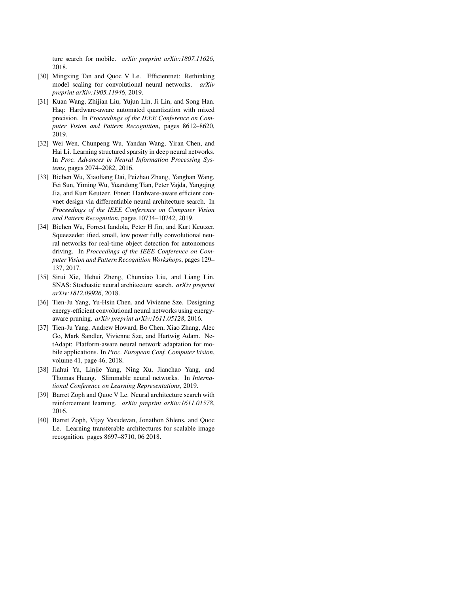ture search for mobile. *arXiv preprint arXiv:1807.11626*, 2018.

- [30] Mingxing Tan and Quoc V Le. Efficientnet: Rethinking model scaling for convolutional neural networks. *arXiv preprint arXiv:1905.11946*, 2019.
- [31] Kuan Wang, Zhijian Liu, Yujun Lin, Ji Lin, and Song Han. Haq: Hardware-aware automated quantization with mixed precision. In *Proceedings of the IEEE Conference on Computer Vision and Pattern Recognition*, pages 8612–8620, 2019.
- [32] Wei Wen, Chunpeng Wu, Yandan Wang, Yiran Chen, and Hai Li. Learning structured sparsity in deep neural networks. In *Proc. Advances in Neural Information Processing Systems*, pages 2074–2082, 2016.
- [33] Bichen Wu, Xiaoliang Dai, Peizhao Zhang, Yanghan Wang, Fei Sun, Yiming Wu, Yuandong Tian, Peter Vajda, Yangqing Jia, and Kurt Keutzer. Fbnet: Hardware-aware efficient convnet design via differentiable neural architecture search. In *Proceedings of the IEEE Conference on Computer Vision and Pattern Recognition*, pages 10734–10742, 2019.
- [34] Bichen Wu, Forrest Iandola, Peter H Jin, and Kurt Keutzer. Squeezedet: ified, small, low power fully convolutional neural networks for real-time object detection for autonomous driving. In *Proceedings of the IEEE Conference on Computer Vision and Pattern Recognition Workshops*, pages 129– 137, 2017.
- [35] Sirui Xie, Hehui Zheng, Chunxiao Liu, and Liang Lin. SNAS: Stochastic neural architecture search. *arXiv preprint arXiv:1812.09926*, 2018.
- [36] Tien-Ju Yang, Yu-Hsin Chen, and Vivienne Sze. Designing energy-efficient convolutional neural networks using energyaware pruning. *arXiv preprint arXiv:1611.05128*, 2016.
- [37] Tien-Ju Yang, Andrew Howard, Bo Chen, Xiao Zhang, Alec Go, Mark Sandler, Vivienne Sze, and Hartwig Adam. NetAdapt: Platform-aware neural network adaptation for mobile applications. In *Proc. European Conf. Computer Vision*, volume 41, page 46, 2018.
- [38] Jiahui Yu, Linjie Yang, Ning Xu, Jianchao Yang, and Thomas Huang. Slimmable neural networks. In *International Conference on Learning Representations*, 2019.
- [39] Barret Zoph and Quoc V Le. Neural architecture search with reinforcement learning. *arXiv preprint arXiv:1611.01578*, 2016.
- [40] Barret Zoph, Vijay Vasudevan, Jonathon Shlens, and Quoc Le. Learning transferable architectures for scalable image recognition. pages 8697–8710, 06 2018.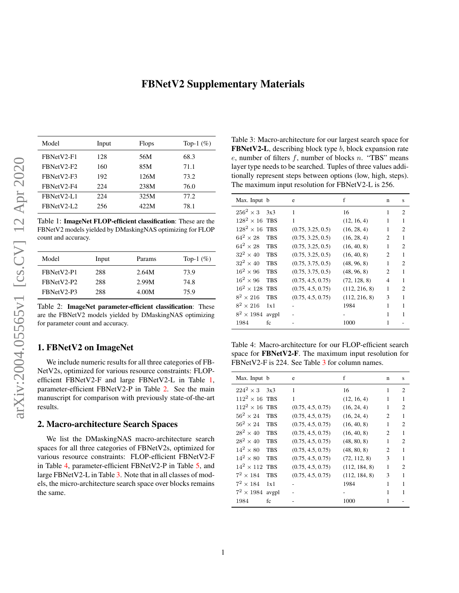# FBNetV2 Supplementary Materials

| Model      | Input | <b>Flops</b> | Top-1 $(\%)$ |
|------------|-------|--------------|--------------|
| FBNetV2-F1 | 128   | 56M          | 68.3         |
| FBNetV2-F2 | 160   | 85M          | 71.1         |
| FBNetV2-F3 | 192   | 126M         | 73.2         |
| FBNetV2-F4 | 224   | 238M         | 76.0         |
| FRNetV2-L1 | 224   | 325M         | 77.2         |
| FBNetV2-L2 | 256   | 422M         | 78.1         |

Table 1: ImageNet FLOP-efficient classification: These are the FBNetV2 models yielded by DMaskingNAS optimizing for FLOP count and accuracy.

| Model      | Input | Params | Top-1 $(\%)$ |
|------------|-------|--------|--------------|
| FBNetV2-P1 | 288   | 2.64M  | 73.9         |
| FRNetV2-P2 | 288   | 2.99M  | 74.8         |
| FBNetV2-P3 | 288   | 4.00M  | 75.9         |

Table 2: ImageNet parameter-efficient classification: These are the FBNetV2 models yielded by DMaskingNAS optimizing for parameter count and accuracy.

# 1. FBNetV2 on ImageNet

We include numeric results for all three categories of FB-NetV2s, optimized for various resource constraints: FLOPefficient FBNetV2-F and large FBNetV2-L in Table 1, parameter-efficient FBNetV2-P in Table 2. See the main manuscript for comparison with previously state-of-the-art results.

#### 2. Macro-architecture Search Spaces

We list the DMaskingNAS macro-architecture search spaces for all three categories of FBNetV2s, optimized for various resource constraints: FLOP-efficient FBNetV2-F in Table 4, parameter-efficient FBNetV2-P in Table 5, and large FBNetV2-L in Table 3. Note that in all classes of models, the micro-architecture search space over blocks remains the same.

Table 3: Macro-architecture for our largest search space for **FBNetV2-L**, describing block type  $b$ , block expansion rate  $e$ , number of filters  $f$ , number of blocks  $n$ . "TBS" means layer type needs to be searched. Tuples of three values additionally represent steps between options (low, high, steps). The maximum input resolution for FBNetV2-L is 256.

| Max. Input b      |            | e                 | f             | n              | S                           |
|-------------------|------------|-------------------|---------------|----------------|-----------------------------|
| $256^2 \times 3$  | 3x3        | 1                 | 16            | 1              | 2                           |
| $128^2 \times 16$ | <b>TBS</b> | $\mathbf{1}$      | (12, 16, 4)   | 1              | 1                           |
| $128^2 \times 16$ | <b>TBS</b> | (0.75, 3.25, 0.5) | (16, 28, 4)   | 1              | 2                           |
| $64^2 \times 28$  | <b>TBS</b> | (0.75, 3.25, 0.5) | (16, 28, 4)   | $\mathfrak{D}$ | 1                           |
| $64^2 \times 28$  | <b>TBS</b> | (0.75, 3.25, 0.5) | (16, 40, 8)   | 1              | 2                           |
| $32^2 \times 40$  | <b>TBS</b> | (0.75, 3.25, 0.5) | (16, 40, 8)   | $\overline{c}$ | 1                           |
| $32^2 \times 40$  | <b>TBS</b> | (0.75, 3.75, 0.5) | (48, 96, 8)   | 1              | $\mathcal{D}_{\mathcal{L}}$ |
| $16^2 \times 96$  | <b>TBS</b> | (0.75, 3.75, 0.5) | (48, 96, 8)   | $\overline{c}$ | 1                           |
| $16^2 \times 96$  | <b>TBS</b> | (0.75, 4.5, 0.75) | (72, 128, 8)  | 4              | 1                           |
| $16^2 \times 128$ | <b>TBS</b> | (0.75, 4.5, 0.75) | (112, 216, 8) | 1              | $\mathcal{D}_{\mathcal{L}}$ |
| $8^2 \times 216$  | <b>TBS</b> | (0.75, 4.5, 0.75) | (112, 216, 8) | 3              |                             |
| $8^2 \times 216$  | 1x1        |                   | 1984          | 1              | 1                           |
| $8^2 \times 1984$ | avgpl      |                   |               | 1              |                             |
| 1984              | fc         |                   | 1000          | 1              |                             |

Table 4: Macro-architecture for our FLOP-efficient search space for FBNetV2-F. The maximum input resolution for FBNetV2-F is 224. See Table 3 for column names.

| Max. Input b          |            | e                 | f             | n              | S              |
|-----------------------|------------|-------------------|---------------|----------------|----------------|
| $224^2 \times 3$      | 3x3        | 1                 | 16            | 1              | $\overline{c}$ |
| $112^2 \times 16$ TBS |            | 1                 | (12, 16, 4)   | 1              | 1              |
| $112^2 \times 16$     | <b>TBS</b> | (0.75, 4.5, 0.75) | (16, 24, 4)   | 1              | 2              |
| $56^2 \times 24$      | <b>TBS</b> | (0.75, 4.5, 0.75) | (16, 24, 4)   | $\overline{c}$ | 1              |
| $56^2 \times 24$      | <b>TBS</b> | (0.75, 4.5, 0.75) | (16, 40, 8)   | 1              | 2              |
| $28^2 \times 40$      | <b>TBS</b> | (0.75, 4.5, 0.75) | (16, 40, 8)   | $\overline{c}$ | 1              |
| $28^2 \times 40$      | <b>TBS</b> | (0.75, 4.5, 0.75) | (48, 80, 8)   | 1              | $\overline{c}$ |
| $14^2 \times 80$      | <b>TBS</b> | (0.75, 4.5, 0.75) | (48, 80, 8)   | 2              | 1              |
| $14^2 \times 80$      | <b>TBS</b> | (0.75, 4.5, 0.75) | (72, 112, 8)  | 3              | 1              |
| $14^2 \times 112$     | <b>TBS</b> | (0.75, 4.5, 0.75) | (112, 184, 8) | 1              | 2              |
| $7^2 \times 184$      | <b>TBS</b> | (0.75, 4.5, 0.75) | (112, 184, 8) | 3              | 1              |
| $7^2 \times 184$      | 1x1        |                   | 1984          | 1              | 1              |
| $7^2 \times 1984$     | avgpl      |                   |               | 1              | 1              |
| 1984                  | fc         |                   | 1000          | 1              |                |